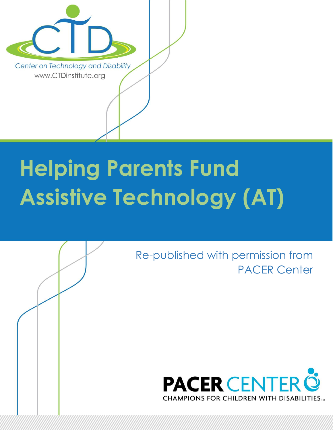

# **Helping Parents Fund Assistive Technology (AT)**

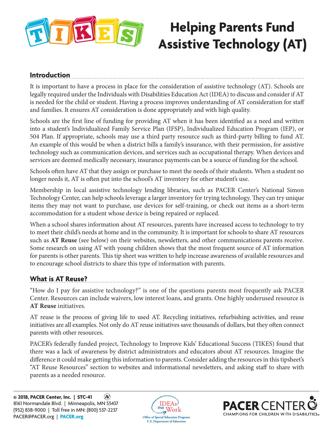

# **Helping Parents Fund Assistive Technology (AT)**

# **Introduction**

It is important to have a process in place for the consideration of assistive technology (AT). Schools are legally required under the Individuals with Disabilities Education Act (IDEA) to discuss and consider if AT is needed for the child or student. Having a process improves understanding of AT consideration for staff and families. It ensures AT consideration is done appropriately and with high quality.

Schools are the first line of funding for providing AT when it has been identified as a need and written into a student's Individualized Family Service Plan (IFSP), Individualized Education Program (IEP), or 504 Plan. If appropriate, schools may use a third party resource such as third-party billing to fund AT. An example of this would be when a district bills a family's insurance, with their permission, for assistive technology such as communication devices, and services such as occupational therapy. When devices and services are deemed medically necessary, insurance payments can be a source of funding for the school.

Schools often have AT that they assign or purchase to meet the needs of their students. When a student no longer needs it, AT is often put into the school's AT inventory for other student's use.

Membership in local assistive technology lending libraries, such as PACER Center's National Simon Technology Center, can help schools leverage a larger inventory for trying technology. They can try unique items they may not want to purchase, use devices for self-training, or check out items as a short-term accommodation for a student whose device is being repaired or replaced.

When a school shares information about AT resources, parents have increased access to technology to try to meet their child's needs at home and in the community. It is important for schools to share AT resources such as **AT Reuse** (see below) on their websites, newsletters, and other communications parents receive. Some research on using AT with young children shows that the most frequent source of AT information for parents is other parents. This tip sheet was written to help increase awareness of available resources and to encourage school districts to share this type of information with parents.

# **What is AT Reuse?**

"How do I pay for assistive technology?" is one of the questions parents most frequently ask PACER Center. Resources can include waivers, low interest loans, and grants. One highly underused resource is **AT Reuse** initiatives.

AT reuse is the process of giving life to used AT. Recycling initiatives, refurbishing activities, and reuse initiatives are all examples. Not only do AT reuse initiatives save thousands of dollars, but they often connect parents with other resources.

PACER's federally funded project, Technology to Improve Kids' Educational Success (TIKES) found that there was a lack of awareness by district administrators and educators about AT resources. Imagine the difference it could make getting this information to parents. Consider adding the resources in this tipsheet's "AT Reuse Resources" section to websites and informational newsletters, and asking staff to share with parents as a needed resource.